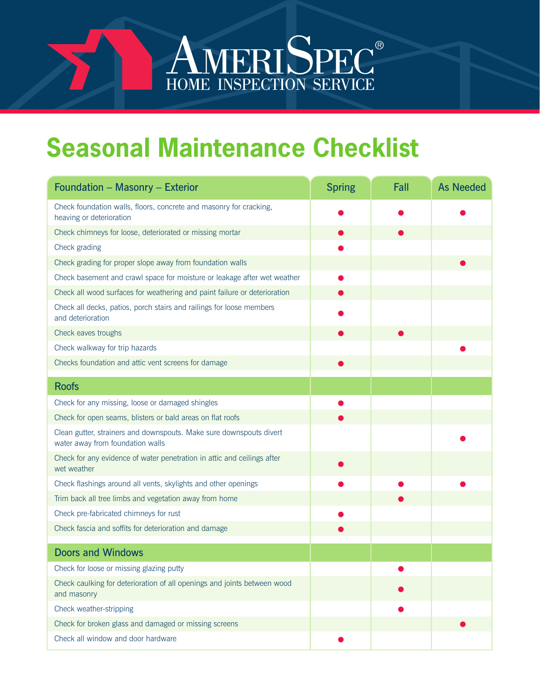## **Seasonal Maintenance Checklist**

AMERISPEC<sup>®</sup><br>HOME INSPECTION SERVICE

| <b>Foundation - Masonry - Exterior</b>                                                                  | <b>Spring</b> | Fall | <b>As Needed</b> |
|---------------------------------------------------------------------------------------------------------|---------------|------|------------------|
| Check foundation walls, floors, concrete and masonry for cracking,<br>heaving or deterioration          |               |      |                  |
| Check chimneys for loose, deteriorated or missing mortar                                                |               |      |                  |
| Check grading                                                                                           |               |      |                  |
| Check grading for proper slope away from foundation walls                                               |               |      |                  |
| Check basement and crawl space for moisture or leakage after wet weather                                |               |      |                  |
| Check all wood surfaces for weathering and paint failure or deterioration                               |               |      |                  |
| Check all decks, patios, porch stairs and railings for loose members<br>and deterioration               |               |      |                  |
| Check eaves troughs                                                                                     |               |      |                  |
| Check walkway for trip hazards                                                                          |               |      |                  |
| Checks foundation and attic vent screens for damage                                                     |               |      |                  |
| <b>Roofs</b>                                                                                            |               |      |                  |
| Check for any missing, loose or damaged shingles                                                        |               |      |                  |
| Check for open seams, blisters or bald areas on flat roofs                                              |               |      |                  |
| Clean gutter, strainers and downspouts. Make sure downspouts divert<br>water away from foundation walls |               |      |                  |
| Check for any evidence of water penetration in attic and ceilings after<br>wet weather                  |               |      |                  |
| Check flashings around all vents, skylights and other openings                                          |               |      |                  |
| Trim back all tree limbs and vegetation away from home                                                  |               |      |                  |
| Check pre-fabricated chimneys for rust                                                                  |               |      |                  |
| Check fascia and soffits for deterioration and damage                                                   |               |      |                  |
| <b>Doors and Windows</b>                                                                                |               |      |                  |
| Check for loose or missing glazing putty                                                                |               |      |                  |
| Check caulking for deterioration of all openings and joints between wood<br>and masonry                 |               |      |                  |
| Check weather-stripping                                                                                 |               |      |                  |
| Check for broken glass and damaged or missing screens                                                   |               |      |                  |
| Check all window and door hardware                                                                      |               |      |                  |